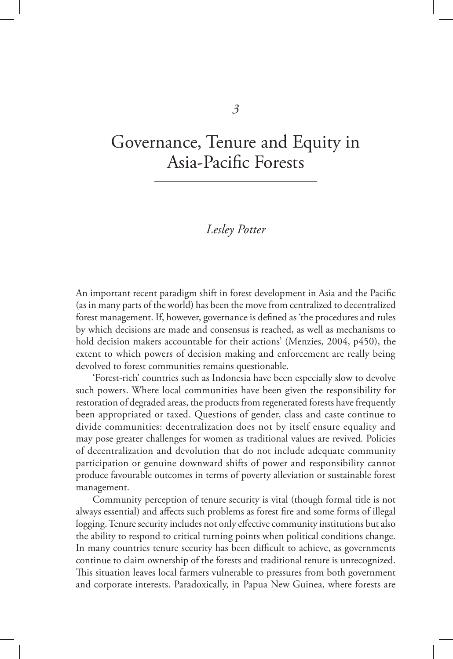# Governance, Tenure and Equity in Asia-Pacific Forests

# *Lesley Potter*

An important recent paradigm shift in forest development in Asia and the Pacific (as in many parts of the world) has been the move from centralized to decentralized forest management. If, however, governance is defined as 'the procedures and rules by which decisions are made and consensus is reached, as well as mechanisms to hold decision makers accountable for their actions' (Menzies, 2004, p450), the extent to which powers of decision making and enforcement are really being devolved to forest communities remains questionable.

'Forest-rich' countries such as Indonesia have been especially slow to devolve such powers. Where local communities have been given the responsibility for restoration of degraded areas, the products from regenerated forests have frequently been appropriated or taxed. Questions of gender, class and caste continue to divide communities: decentralization does not by itself ensure equality and may pose greater challenges for women as traditional values are revived. Policies of decentralization and devolution that do not include adequate community participation or genuine downward shifts of power and responsibility cannot produce favourable outcomes in terms of poverty alleviation or sustainable forest management.

Community perception of tenure security is vital (though formal title is not always essential) and affects such problems as forest fire and some forms of illegal logging. Tenure security includes not only effective community institutions but also the ability to respond to critical turning points when political conditions change. In many countries tenure security has been difficult to achieve, as governments continue to claim ownership of the forests and traditional tenure is unrecognized. This situation leaves local farmers vulnerable to pressures from both government and corporate interests. Paradoxically, in Papua New Guinea, where forests are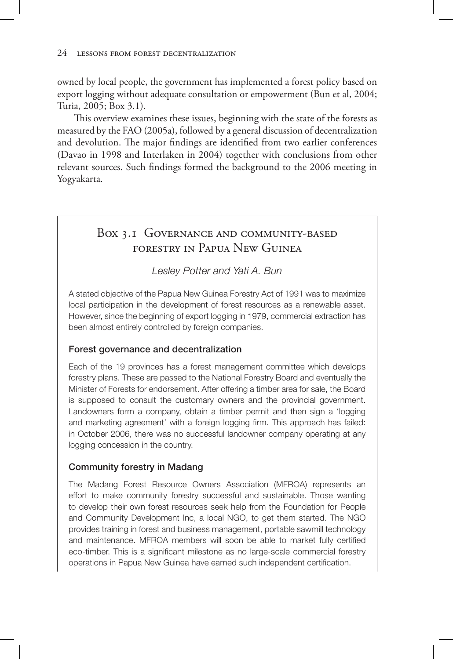owned by local people, the government has implemented a forest policy based on export logging without adequate consultation or empowerment (Bun et al, 2004; Turia, 2005; Box 3.1).

This overview examines these issues, beginning with the state of the forests as measured by the FAO (2005a), followed by a general discussion of decentralization and devolution. The major findings are identified from two earlier conferences (Davao in 1998 and Interlaken in 2004) together with conclusions from other relevant sources. Such findings formed the background to the 2006 meeting in Yogyakarta.

# BOX 3.1 GOVERNANCE AND COMMUNITY-BASED FORESTRY IN PAPUA NEW GUINEA

#### *Lesley Potter and Yati A. Bun*

A stated objective of the Papua New Guinea Forestry Act of 1991 was to maximize local participation in the development of forest resources as a renewable asset. However, since the beginning of export logging in 1979, commercial extraction has been almost entirely controlled by foreign companies.

#### Forest governance and decentralization

Each of the 19 provinces has a forest management committee which develops forestry plans. These are passed to the National Forestry Board and eventually the Minister of Forests for endorsement. After offering a timber area for sale, the Board is supposed to consult the customary owners and the provincial government. Landowners form a company, obtain a timber permit and then sign a 'logging and marketing agreement' with a foreign logging firm. This approach has failed: in October 2006, there was no successful landowner company operating at any logging concession in the country.

#### Community forestry in Madang

The Madang Forest Resource Owners Association (MFROA) represents an effort to make community forestry successful and sustainable. Those wanting to develop their own forest resources seek help from the Foundation for People and Community Development Inc, a local NGO, to get them started. The NGO provides training in forest and business management, portable sawmill technology and maintenance. MFROA members will soon be able to market fully certified eco-timber. This is a significant milestone as no large-scale commercial forestry operations in Papua New Guinea have earned such independent certification.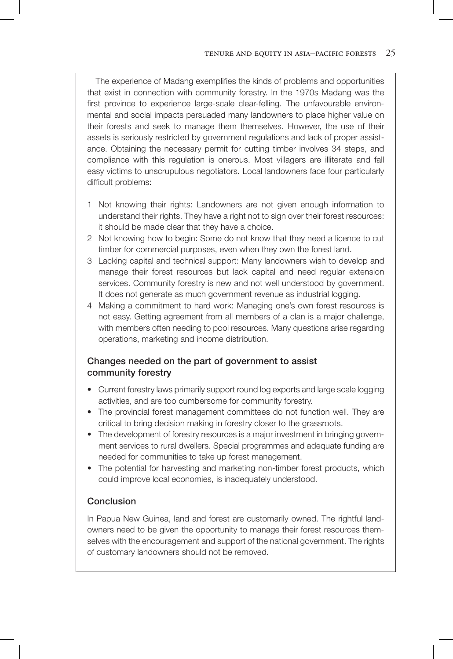The experience of Madang exemplifies the kinds of problems and opportunities that exist in connection with community forestry. In the 1970s Madang was the first province to experience large-scale clear-felling. The unfavourable environmental and social impacts persuaded many landowners to place higher value on their forests and seek to manage them themselves. However, the use of their assets is seriously restricted by government regulations and lack of proper assistance. Obtaining the necessary permit for cutting timber involves 34 steps, and compliance with this regulation is onerous. Most villagers are illiterate and fall easy victims to unscrupulous negotiators. Local landowners face four particularly difficult problems:

- 1 Not knowing their rights: Landowners are not given enough information to understand their rights. They have a right not to sign over their forest resources: it should be made clear that they have a choice.
- 2 Not knowing how to begin: Some do not know that they need a licence to cut timber for commercial purposes, even when they own the forest land.
- 3 Lacking capital and technical support: Many landowners wish to develop and manage their forest resources but lack capital and need regular extension services. Community forestry is new and not well understood by government. It does not generate as much government revenue as industrial logging.
- 4 Making a commitment to hard work: Managing one's own forest resources is not easy. Getting agreement from all members of a clan is a major challenge, with members often needing to pool resources. Many questions arise regarding operations, marketing and income distribution.

#### Changes needed on the part of government to assist community forestry

- Current forestry laws primarily support round log exports and large scale logging activities, and are too cumbersome for community forestry.
- The provincial forest management committees do not function well. They are critical to bring decision making in forestry closer to the grassroots.
- The development of forestry resources is a major investment in bringing government services to rural dwellers. Special programmes and adequate funding are needed for communities to take up forest management.
- The potential for harvesting and marketing non-timber forest products, which could improve local economies, is inadequately understood.

#### Conclusion

In Papua New Guinea, land and forest are customarily owned. The rightful landowners need to be given the opportunity to manage their forest resources themselves with the encouragement and support of the national government. The rights of customary landowners should not be removed.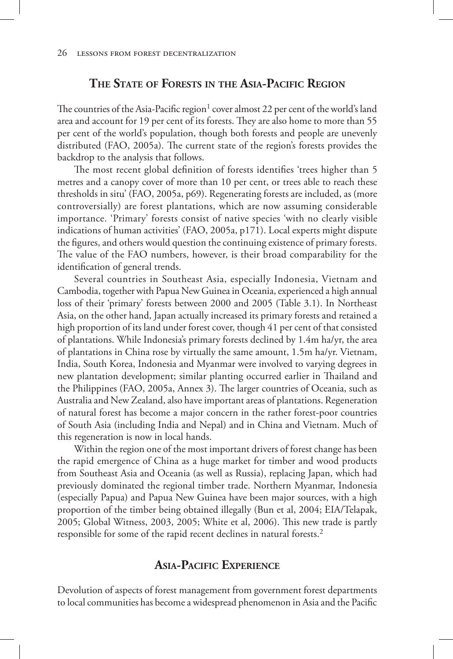### **THE STATE OF FORESTS IN THE ASIA-PACIFIC REGION**

The countries of the Asia-Pacific region<sup>1</sup> cover almost 22 per cent of the world's land area and account for 19 per cent of its forests. They are also home to more than 55 per cent of the world's population, though both forests and people are unevenly distributed (FAO, 2005a). The current state of the region's forests provides the backdrop to the analysis that follows.

The most recent global definition of forests identifies 'trees higher than 5 metres and a canopy cover of more than 10 per cent, or trees able to reach these thresholds in situ' (FAO, 2005a, p69). Regenerating forests are included, as (more controversially) are forest plantations, which are now assuming considerable importance. 'Primary' forests consist of native species 'with no clearly visible indications of human activities' (FAO, 2005a, p171). Local experts might dispute the figures, and others would question the continuing existence of primary forests. The value of the FAO numbers, however, is their broad comparability for the identification of general trends.

Several countries in Southeast Asia, especially Indonesia, Vietnam and Cambodia, together with Papua New Guinea in Oceania, experienced a high annual loss of their 'primary' forests between 2000 and 2005 (Table 3.1). In Northeast Asia, on the other hand, Japan actually increased its primary forests and retained a high proportion of its land under forest cover, though 41 per cent of that consisted of plantations. While Indonesia's primary forests declined by 1.4m ha/yr, the area of plantations in China rose by virtually the same amount, 1.5m ha/yr. Vietnam, India, South Korea, Indonesia and Myanmar were involved to varying degrees in new plantation development; similar planting occurred earlier in Thailand and the Philippines (FAO, 2005a, Annex 3). The larger countries of Oceania, such as Australia and New Zealand, also have important areas of plantations. Regeneration of natural forest has become a major concern in the rather forest-poor countries of South Asia (including India and Nepal) and in China and Vietnam. Much of this regeneration is now in local hands.

Within the region one of the most important drivers of forest change has been the rapid emergence of China as a huge market for timber and wood products from Southeast Asia and Oceania (as well as Russia), replacing Japan, which had previously dominated the regional timber trade. Northern Myanmar, Indonesia (especially Papua) and Papua New Guinea have been major sources, with a high proportion of the timber being obtained illegally (Bun et al, 2004; EIA/Telapak, 2005; Global Witness, 2003, 2005; White et al, 2006). This new trade is partly responsible for some of the rapid recent declines in natural forests.2

## **ASIA-PACIFIC EXPERIENCE**

Devolution of aspects of forest management from government forest departments to local communities has become a widespread phenomenon in Asia and the Pacific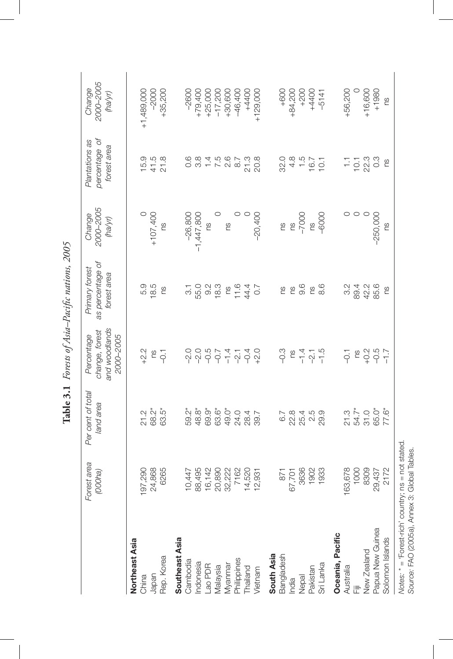|                                    | Forest area<br>(OOOha) | Per cent of total<br>land area | and woodlands<br>change, forest<br>Percentage<br>2000-2005            | as percentage of<br>Primary forest<br>forest area | 2000-2005<br>Change<br>(ha/yr) | percentage of<br>Plantations as<br>forest area | 2000-2005<br>Change<br>(ha/yr) |
|------------------------------------|------------------------|--------------------------------|-----------------------------------------------------------------------|---------------------------------------------------|--------------------------------|------------------------------------------------|--------------------------------|
| Northeast Asia                     |                        |                                |                                                                       |                                                   |                                |                                                |                                |
| China                              | 97,290                 | 21.2                           | $+2.2$                                                                | 5.9                                               | $+107,400$                     |                                                | $+1,489,000$                   |
| Japan                              | 24,868                 | 68.2*                          | SU                                                                    | 18.5                                              |                                | $15.9$<br>41.5                                 | $-2000$                        |
| Rep. Korea                         | 6265                   | 63.5*                          | $-7.7$                                                                | SU                                                | <b>CO</b>                      | 21.8                                           | $+35,200$                      |
| Southeast Asia                     |                        |                                |                                                                       |                                                   |                                |                                                |                                |
| Cambodia<br>Indonesia              | 10,447                 | 59.2*                          | $-2.0$                                                                | $\overline{3}$ .                                  | $-26,800$                      | 0.6                                            | $-2600$                        |
|                                    | 88,495                 | 48.8*                          |                                                                       |                                                   | $-1,447,800$                   |                                                | $+79,400$                      |
| Lao PDR<br>Malaysia<br>Myanmar     | 16,142                 | 69.9*                          |                                                                       | 0<br>0<br>0<br>0<br>1<br>0<br>1                   | SU                             | $3040$<br>$-70$<br>$-70$                       | $+25,000$                      |
|                                    | 20,890                 | 63.6*                          |                                                                       |                                                   | O                              |                                                | $-17,200$                      |
|                                    | 32,222                 | 49.0*                          |                                                                       | SJ                                                | <b>CS</b>                      | 2.6                                            | $+30,600$                      |
|                                    | 7162                   | 24.0                           |                                                                       | 11.6                                              |                                | $\overline{8.7}$                               | $-46,400$                      |
|                                    | 14,520                 | 28.4                           |                                                                       | 44.4                                              |                                | 21.3                                           | +4400                          |
| Philippines<br>Thailand<br>Vietnam | 12,931                 | 39.7                           |                                                                       | 0.7                                               | $-20,400$                      | 20.8                                           | $+129,000$                     |
| South Asia                         |                        |                                |                                                                       |                                                   |                                |                                                |                                |
| Bangladesh                         | 871                    | 6.7                            | c:0-                                                                  | ns                                                | SU                             | 32.0                                           | $+600$                         |
| India<br>Nepal<br>Pakistan         | 67,701                 | 22.8                           | SU                                                                    | SU                                                | $\frac{18}{1000}$<br>$-7000$   | 4.8                                            | +84,200                        |
|                                    | 3636                   | 25.4                           |                                                                       | 9.6                                               |                                | $\frac{5}{1}$                                  | $+200$                         |
|                                    | 1902                   | 2.5                            | $\frac{1}{4}$ $\frac{1}{4}$ $\frac{1}{1}$ $\frac{1}{1}$ $\frac{1}{1}$ | <b>CS</b>                                         |                                | $16.7$<br>10.1                                 | +4400                          |
| Sri Lanka                          | 1933                   | 29.9                           |                                                                       | 8.6                                               |                                |                                                | $-5141$                        |
| Oceania, Pacific                   |                        |                                |                                                                       |                                                   |                                |                                                |                                |
| Australia<br>Fiji                  | 63,678                 |                                | $-7.7$                                                                | 3.2                                               |                                |                                                | $+56,200$                      |
|                                    | 1000                   |                                | SU                                                                    | 89.4                                              | $\circ \circ \circ$            |                                                |                                |
| New Zealand                        | 8309                   | 5<br>1410<br>2019              | $-9.5$                                                                | 42.2                                              |                                | $\frac{1}{1}$ 0.7<br>22.3                      | $+16,600$                      |
| Papua New Guinea                   | 29,437                 |                                |                                                                       | 85.6                                              | $-250,000$                     | C.C                                            | $+1980$                        |
| Solomon Islands                    | 2172                   | 77.6*                          | $-1.7$                                                                | SU                                                | SU                             | ms                                             | SU                             |
| Matac: * = 'Earat righ' aou inter: | <b>CALL +CALL</b>      |                                |                                                                       |                                                   |                                |                                                |                                |

Table 3.1 Forests of Asia-Pacific nations, 2005 **Table 3.1** *Forests of Asia–Pacific nations, 2005*

> Motes: \* = 'Forest-rich' country; ns = not stated.<br>Source: FAO (2005a), Annex 3: Global Tables. *Notes:* \* = 'Forest-rich' country; ns = not stated. *Source:* FAO (2005a), Annex 3: Global Tables.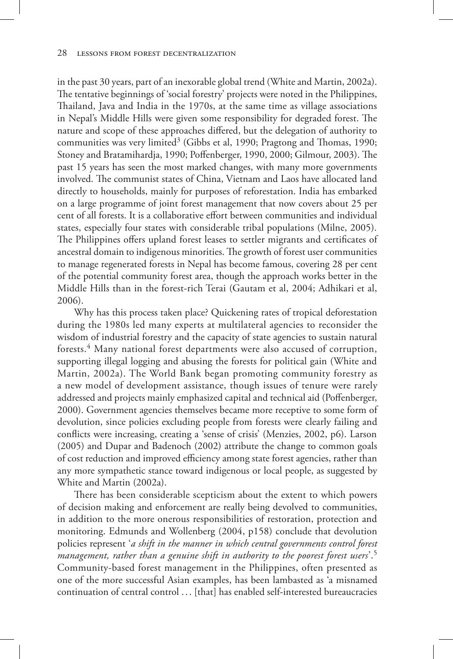in the past 30 years, part of an inexorable global trend (White and Martin, 2002a). The tentative beginnings of 'social forestry' projects were noted in the Philippines, Thailand, Java and India in the 1970s, at the same time as village associations in Nepal's Middle Hills were given some responsibility for degraded forest. The nature and scope of these approaches differed, but the delegation of authority to communities was very limited<sup>3</sup> (Gibbs et al, 1990; Pragtong and Thomas, 1990; Stoney and Bratamihardja, 1990; Poffenberger, 1990, 2000; Gilmour, 2003). The past 15 years has seen the most marked changes, with many more governments involved. The communist states of China, Vietnam and Laos have allocated land directly to households, mainly for purposes of reforestation. India has embarked on a large programme of joint forest management that now covers about 25 per cent of all forests. It is a collaborative effort between communities and individual states, especially four states with considerable tribal populations (Milne, 2005). The Philippines offers upland forest leases to settler migrants and certificates of ancestral domain to indigenous minorities. The growth of forest user communities to manage regenerated forests in Nepal has become famous, covering 28 per cent of the potential community forest area, though the approach works better in the Middle Hills than in the forest-rich Terai (Gautam et al, 2004; Adhikari et al, 2006).

Why has this process taken place? Quickening rates of tropical deforestation during the 1980s led many experts at multilateral agencies to reconsider the wisdom of industrial forestry and the capacity of state agencies to sustain natural forests.4 Many national forest departments were also accused of corruption, supporting illegal logging and abusing the forests for political gain (White and Martin, 2002a). The World Bank began promoting community forestry as a new model of development assistance, though issues of tenure were rarely addressed and projects mainly emphasized capital and technical aid (Poffenberger, 2000). Government agencies themselves became more receptive to some form of devolution, since policies excluding people from forests were clearly failing and conflicts were increasing, creating a 'sense of crisis' (Menzies, 2002, p6). Larson (2005) and Dupar and Badenoch (2002) attribute the change to common goals of cost reduction and improved efficiency among state forest agencies, rather than any more sympathetic stance toward indigenous or local people, as suggested by White and Martin (2002a).

There has been considerable scepticism about the extent to which powers of decision making and enforcement are really being devolved to communities, in addition to the more onerous responsibilities of restoration, protection and monitoring. Edmunds and Wollenberg (2004, p158) conclude that devolution policies represent '*a shift in the manner in which central governments control forest management, rather than a genuine shift in authority to the poorest forest users*'.<sup>5</sup> Community-based forest management in the Philippines, often presented as one of the more successful Asian examples, has been lambasted as 'a misnamed continuation of central control ... [that] has enabled self-interested bureaucracies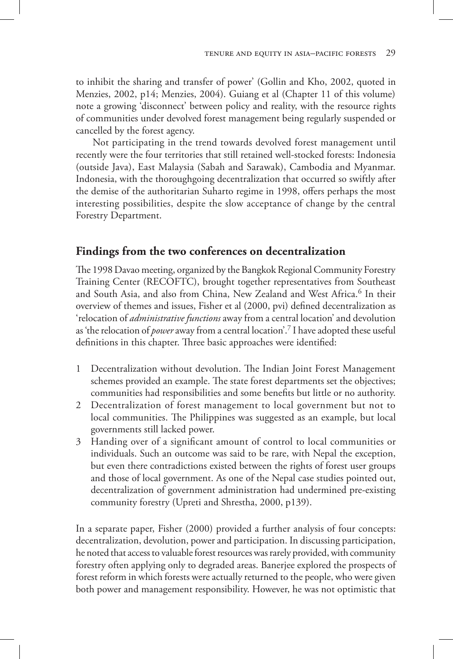to inhibit the sharing and transfer of power' (Gollin and Kho, 2002, quoted in Menzies, 2002, p14; Menzies, 2004). Guiang et al (Chapter 11 of this volume) note a growing 'disconnect' between policy and reality, with the resource rights of communities under devolved forest management being regularly suspended or cancelled by the forest agency.

Not participating in the trend towards devolved forest management until recently were the four territories that still retained well-stocked forests: Indonesia (outside Java), East Malaysia (Sabah and Sarawak), Cambodia and Myanmar. Indonesia, with the thoroughgoing decentralization that occurred so swiftly after the demise of the authoritarian Suharto regime in 1998, offers perhaps the most interesting possibilities, despite the slow acceptance of change by the central Forestry Department.

### **Findings from the two conferences on decentralization**

The 1998 Davao meeting, organized by the Bangkok Regional Community Forestry Training Center (RECOFTC), brought together representatives from Southeast and South Asia, and also from China, New Zealand and West Africa.<sup>6</sup> In their overview of themes and issues, Fisher et al (2000, pvi) defined decentralization as 'relocation of *administrative functions* away from a central location' and devolution as 'the relocation of *power* away from a central location'.7 I have adopted these useful definitions in this chapter. Three basic approaches were identified:

- 1 Decentralization without devolution. The Indian Joint Forest Management schemes provided an example. The state forest departments set the objectives; communities had responsibilities and some benefits but little or no authority.
- 2 Decentralization of forest management to local government but not to local communities. The Philippines was suggested as an example, but local governments still lacked power.
- 3 Handing over of a significant amount of control to local communities or individuals. Such an outcome was said to be rare, with Nepal the exception, but even there contradictions existed between the rights of forest user groups and those of local government. As one of the Nepal case studies pointed out, decentralization of government administration had undermined pre-existing community forestry (Upreti and Shrestha, 2000, p139).

In a separate paper, Fisher (2000) provided a further analysis of four concepts: decentralization, devolution, power and participation. In discussing participation, he noted that access to valuable forest resources was rarely provided, with community forestry often applying only to degraded areas. Banerjee explored the prospects of forest reform in which forests were actually returned to the people, who were given both power and management responsibility. However, he was not optimistic that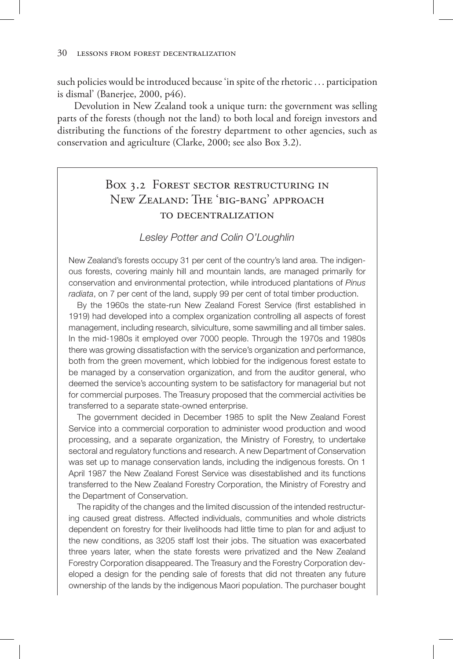such policies would be introduced because 'in spite of the rhetoric . . . participation is dismal' (Banerjee, 2000, p46).

Devolution in New Zealand took a unique turn: the government was selling parts of the forests (though not the land) to both local and foreign investors and distributing the functions of the forestry department to other agencies, such as conservation and agriculture (Clarke, 2000; see also Box 3.2).

# BOX 3.2 FOREST SECTOR RESTRUCTURING IN NEW ZEALAND: THE 'BIG-BANG' APPROACH TO DECENTRALIZATION

#### *Lesley Potter and Colin O'Loughlin*

New Zealand's forests occupy 31 per cent of the country's land area. The indigenous forests, covering mainly hill and mountain lands, are managed primarily for conservation and environmental protection, while introduced plantations of *Pinus radiata*, on 7 per cent of the land, supply 99 per cent of total timber production.

 By the 1960s the state-run New Zealand Forest Service (first established in 1919) had developed into a complex organization controlling all aspects of forest management, including research, silviculture, some sawmilling and all timber sales. In the mid-1980s it employed over 7000 people. Through the 1970s and 1980s there was growing dissatisfaction with the service's organization and performance, both from the green movement, which lobbied for the indigenous forest estate to be managed by a conservation organization, and from the auditor general, who deemed the service's accounting system to be satisfactory for managerial but not for commercial purposes. The Treasury proposed that the commercial activities be transferred to a separate state-owned enterprise.

 The government decided in December 1985 to split the New Zealand Forest Service into a commercial corporation to administer wood production and wood processing, and a separate organization, the Ministry of Forestry, to undertake sectoral and regulatory functions and research. A new Department of Conservation was set up to manage conservation lands, including the indigenous forests. On 1 April 1987 the New Zealand Forest Service was disestablished and its functions transferred to the New Zealand Forestry Corporation, the Ministry of Forestry and the Department of Conservation.

 The rapidity of the changes and the limited discussion of the intended restructuring caused great distress. Affected individuals, communities and whole districts dependent on forestry for their livelihoods had little time to plan for and adjust to the new conditions, as 3205 staff lost their jobs. The situation was exacerbated three years later, when the state forests were privatized and the New Zealand Forestry Corporation disappeared. The Treasury and the Forestry Corporation developed a design for the pending sale of forests that did not threaten any future ownership of the lands by the indigenous Maori population. The purchaser bought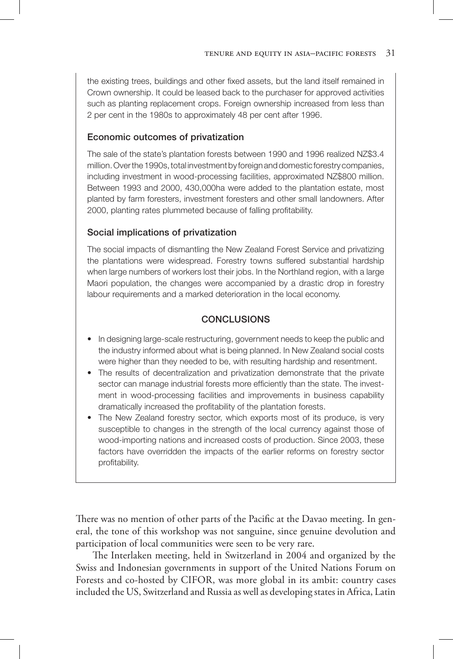the existing trees, buildings and other fixed assets, but the land itself remained in Crown ownership. It could be leased back to the purchaser for approved activities such as planting replacement crops. Foreign ownership increased from less than 2 per cent in the 1980s to approximately 48 per cent after 1996.

#### Economic outcomes of privatization

The sale of the state's plantation forests between 1990 and 1996 realized NZ\$3.4 million. Over the 1990s, total investment by foreign and domestic forestry companies, including investment in wood-processing facilities, approximated NZ\$800 million. Between 1993 and 2000, 430,000ha were added to the plantation estate, most planted by farm foresters, investment foresters and other small landowners. After 2000, planting rates plummeted because of falling profitability.

#### Social implications of privatization

The social impacts of dismantling the New Zealand Forest Service and privatizing the plantations were widespread. Forestry towns suffered substantial hardship when large numbers of workers lost their jobs. In the Northland region, with a large Maori population, the changes were accompanied by a drastic drop in forestry labour requirements and a marked deterioration in the local economy.

#### **CONCLUSIONS**

- In designing large-scale restructuring, government needs to keep the public and the industry informed about what is being planned. In New Zealand social costs were higher than they needed to be, with resulting hardship and resentment.
- The results of decentralization and privatization demonstrate that the private sector can manage industrial forests more efficiently than the state. The investment in wood-processing facilities and improvements in business capability dramatically increased the profitability of the plantation forests.
- The New Zealand forestry sector, which exports most of its produce, is very susceptible to changes in the strength of the local currency against those of wood-importing nations and increased costs of production. Since 2003, these factors have overridden the impacts of the earlier reforms on forestry sector profitability.

There was no mention of other parts of the Pacific at the Davao meeting. In general, the tone of this workshop was not sanguine, since genuine devolution and participation of local communities were seen to be very rare.

The Interlaken meeting, held in Switzerland in 2004 and organized by the Swiss and Indonesian governments in support of the United Nations Forum on Forests and co-hosted by CIFOR, was more global in its ambit: country cases included the US, Switzerland and Russia as well as developing states in Africa, Latin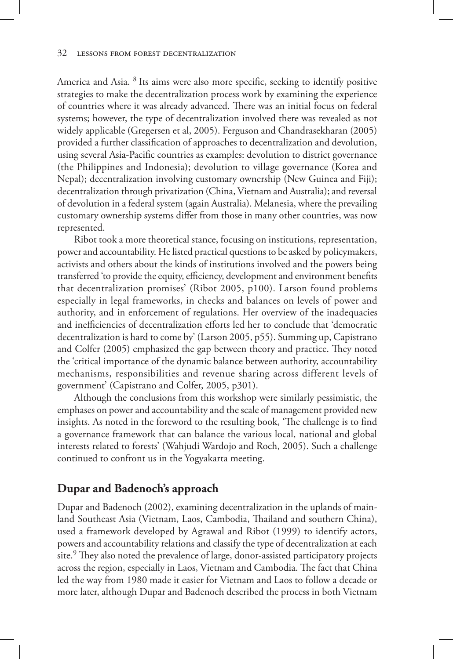America and Asia. 8 Its aims were also more specific, seeking to identify positive strategies to make the decentralization process work by examining the experience of countries where it was already advanced. There was an initial focus on federal systems; however, the type of decentralization involved there was revealed as not widely applicable (Gregersen et al, 2005). Ferguson and Chandrasekharan (2005) provided a further classification of approaches to decentralization and devolution, using several Asia-Pacific countries as examples: devolution to district governance (the Philippines and Indonesia); devolution to village governance (Korea and Nepal); decentralization involving customary ownership (New Guinea and Fiji); decentralization through privatization (China, Vietnam and Australia); and reversal of devolution in a federal system (again Australia). Melanesia, where the prevailing customary ownership systems differ from those in many other countries, was now represented.

Ribot took a more theoretical stance, focusing on institutions, representation, power and accountability. He listed practical questions to be asked by policymakers, activists and others about the kinds of institutions involved and the powers being transferred 'to provide the equity, efficiency, development and environment benefits that decentralization promises' (Ribot 2005, p100). Larson found problems especially in legal frameworks, in checks and balances on levels of power and authority, and in enforcement of regulations. Her overview of the inadequacies and inefficiencies of decentralization efforts led her to conclude that 'democratic decentralization is hard to come by' (Larson 2005, p55). Summing up, Capistrano and Colfer (2005) emphasized the gap between theory and practice. They noted the 'critical importance of the dynamic balance between authority, accountability mechanisms, responsibilities and revenue sharing across different levels of government' (Capistrano and Colfer, 2005, p301).

Although the conclusions from this workshop were similarly pessimistic, the emphases on power and accountability and the scale of management provided new insights. As noted in the foreword to the resulting book, 'The challenge is to find a governance framework that can balance the various local, national and global interests related to forests' (Wahjudi Wardojo and Roch, 2005). Such a challenge continued to confront us in the Yogyakarta meeting.

#### **Dupar and Badenoch's approach**

Dupar and Badenoch (2002), examining decentralization in the uplands of mainland Southeast Asia (Vietnam, Laos, Cambodia, Thailand and southern China), used a framework developed by Agrawal and Ribot (1999) to identify actors, powers and accountability relations and classify the type of decentralization at each site.<sup>9</sup> They also noted the prevalence of large, donor-assisted participatory projects across the region, especially in Laos, Vietnam and Cambodia. The fact that China led the way from 1980 made it easier for Vietnam and Laos to follow a decade or more later, although Dupar and Badenoch described the process in both Vietnam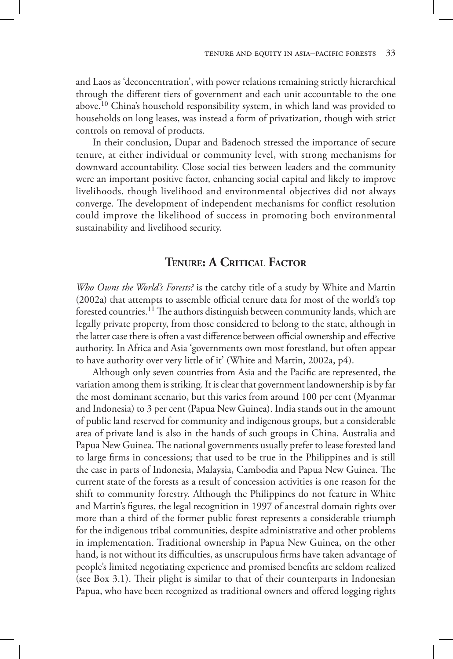and Laos as 'deconcentration', with power relations remaining strictly hierarchical through the different tiers of government and each unit accountable to the one above.10 China's household responsibility system, in which land was provided to households on long leases, was instead a form of privatization, though with strict controls on removal of products.

In their conclusion, Dupar and Badenoch stressed the importance of secure tenure, at either individual or community level, with strong mechanisms for downward accountability. Close social ties between leaders and the community were an important positive factor, enhancing social capital and likely to improve livelihoods, though livelihood and environmental objectives did not always converge. The development of independent mechanisms for conflict resolution could improve the likelihood of success in promoting both environmental sustainability and livelihood security.

### **TENURE: A CRITICAL FACTOR**

*Who Owns the World's Forests?* is the catchy title of a study by White and Martin (2002a) that attempts to assemble official tenure data for most of the world's top forested countries.<sup>11</sup> The authors distinguish between community lands, which are legally private property, from those considered to belong to the state, although in the latter case there is often a vast difference between official ownership and effective authority. In Africa and Asia 'governments own most forestland, but often appear to have authority over very little of it' (White and Martin, 2002a, p4).

Although only seven countries from Asia and the Pacific are represented, the variation among them is striking. It is clear that government landownership is by far the most dominant scenario, but this varies from around 100 per cent (Myanmar and Indonesia) to 3 per cent (Papua New Guinea). India stands out in the amount of public land reserved for community and indigenous groups, but a considerable area of private land is also in the hands of such groups in China, Australia and Papua New Guinea. The national governments usually prefer to lease forested land to large firms in concessions; that used to be true in the Philippines and is still the case in parts of Indonesia, Malaysia, Cambodia and Papua New Guinea. The current state of the forests as a result of concession activities is one reason for the shift to community forestry. Although the Philippines do not feature in White and Martin's figures, the legal recognition in 1997 of ancestral domain rights over more than a third of the former public forest represents a considerable triumph for the indigenous tribal communities, despite administrative and other problems in implementation. Traditional ownership in Papua New Guinea, on the other hand, is not without its difficulties, as unscrupulous firms have taken advantage of people's limited negotiating experience and promised benefits are seldom realized (see Box 3.1). Their plight is similar to that of their counterparts in Indonesian Papua, who have been recognized as traditional owners and offered logging rights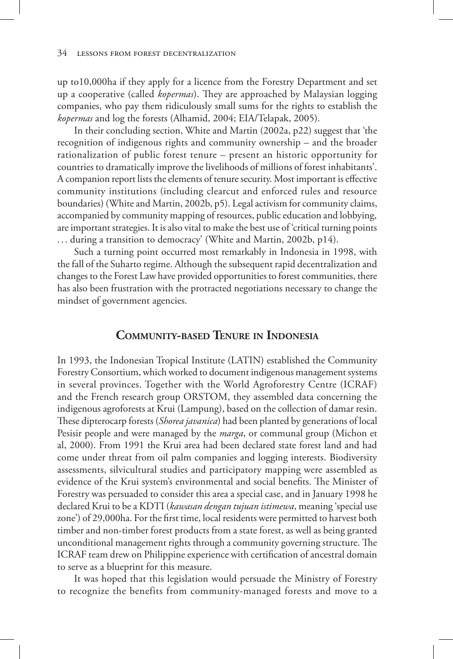up to10,000ha if they apply for a licence from the Forestry Department and set up a cooperative (called *kopermas*). They are approached by Malaysian logging companies, who pay them ridiculously small sums for the rights to establish the *kopermas* and log the forests (Alhamid, 2004; EIA/Telapak, 2005).

In their concluding section, White and Martin (2002a, p22) suggest that 'the recognition of indigenous rights and community ownership – and the broader rationalization of public forest tenure – present an historic opportunity for countries to dramatically improve the livelihoods of millions of forest inhabitants'. A companion report lists the elements of tenure security. Most important is effective community institutions (including clearcut and enforced rules and resource boundaries) (White and Martin, 2002b, p5). Legal activism for community claims, accompanied by community mapping of resources, public education and lobbying, are important strategies. It is also vital to make the best use of 'critical turning points . . . during a transition to democracy' (White and Martin, 2002b, p14).

Such a turning point occurred most remarkably in Indonesia in 1998, with the fall of the Suharto regime. Although the subsequent rapid decentralization and changes to the Forest Law have provided opportunities to forest communities, there has also been frustration with the protracted negotiations necessary to change the mindset of government agencies.

### **COMMUNITY-BASED TENURE IN INDONESIA**

In 1993, the Indonesian Tropical Institute (LATIN) established the Community Forestry Consortium, which worked to document indigenous management systems in several provinces. Together with the World Agroforestry Centre (ICRAF) and the French research group ORSTOM, they assembled data concerning the indigenous agroforests at Krui (Lampung), based on the collection of damar resin. These dipterocarp forests (*Shorea javanica*) had been planted by generations of local Pesisir people and were managed by the *marga*, or communal group (Michon et al, 2000). From 1991 the Krui area had been declared state forest land and had come under threat from oil palm companies and logging interests. Biodiversity assessments, silvicultural studies and participatory mapping were assembled as evidence of the Krui system's environmental and social benefits. The Minister of Forestry was persuaded to consider this area a special case, and in January 1998 he declared Krui to be a KDTI (*kawasan dengan tujuan istimewa*, meaning 'special use zone') of 29,000ha. For the first time, local residents were permitted to harvest both timber and non-timber forest products from a state forest, as well as being granted unconditional management rights through a community governing structure. The ICRAF team drew on Philippine experience with certification of ancestral domain to serve as a blueprint for this measure.

It was hoped that this legislation would persuade the Ministry of Forestry to recognize the benefits from community-managed forests and move to a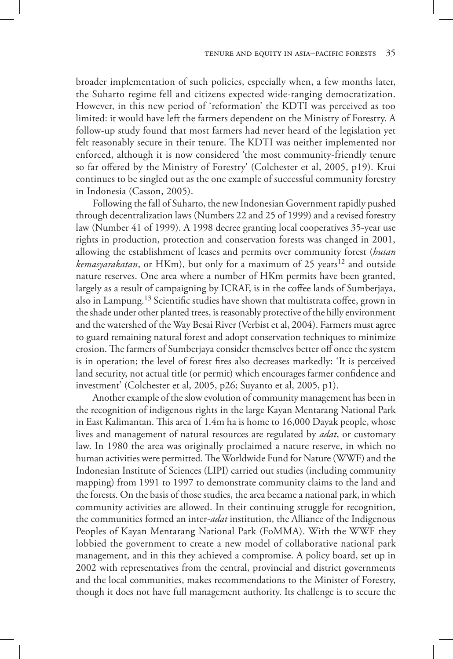broader implementation of such policies, especially when, a few months later, the Suharto regime fell and citizens expected wide-ranging democratization. However, in this new period of 'reformation' the KDTI was perceived as too limited: it would have left the farmers dependent on the Ministry of Forestry. A follow-up study found that most farmers had never heard of the legislation yet felt reasonably secure in their tenure. The KDTI was neither implemented nor enforced, although it is now considered 'the most community-friendly tenure so far offered by the Ministry of Forestry' (Colchester et al, 2005, p19). Krui continues to be singled out as the one example of successful community forestry in Indonesia (Casson, 2005).

Following the fall of Suharto, the new Indonesian Government rapidly pushed through decentralization laws (Numbers 22 and 25 of 1999) and a revised forestry law (Number 41 of 1999). A 1998 decree granting local cooperatives 35-year use rights in production, protection and conservation forests was changed in 2001, allowing the establishment of leases and permits over community forest (*hutan kemasyarakatan*, or HKm), but only for a maximum of 25 years<sup>12</sup> and outside nature reserves. One area where a number of HKm permits have been granted, largely as a result of campaigning by ICRAF, is in the coffee lands of Sumberjaya, also in Lampung.<sup>13</sup> Scientific studies have shown that multistrata coffee, grown in the shade under other planted trees, is reasonably protective of the hilly environment and the watershed of the Way Besai River (Verbist et al, 2004). Farmers must agree to guard remaining natural forest and adopt conservation techniques to minimize erosion. The farmers of Sumberjaya consider themselves better off once the system is in operation; the level of forest fires also decreases markedly: 'It is perceived land security, not actual title (or permit) which encourages farmer confidence and investment' (Colchester et al, 2005, p26; Suyanto et al, 2005, p1).

Another example of the slow evolution of community management has been in the recognition of indigenous rights in the large Kayan Mentarang National Park in East Kalimantan. This area of 1.4m ha is home to 16,000 Dayak people, whose lives and management of natural resources are regulated by *adat*, or customary law. In 1980 the area was originally proclaimed a nature reserve, in which no human activities were permitted. The Worldwide Fund for Nature (WWF) and the Indonesian Institute of Sciences (LIPI) carried out studies (including community mapping) from 1991 to 1997 to demonstrate community claims to the land and the forests. On the basis of those studies, the area became a national park, in which community activities are allowed. In their continuing struggle for recognition, the communities formed an inter-*adat* institution, the Alliance of the Indigenous Peoples of Kayan Mentarang National Park (FoMMA). With the WWF they lobbied the government to create a new model of collaborative national park management, and in this they achieved a compromise. A policy board, set up in 2002 with representatives from the central, provincial and district governments and the local communities, makes recommendations to the Minister of Forestry, though it does not have full management authority. Its challenge is to secure the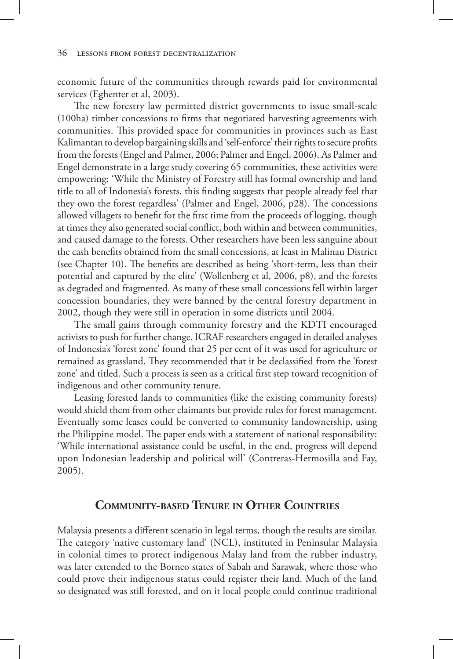economic future of the communities through rewards paid for environmental services (Eghenter et al, 2003).

The new forestry law permitted district governments to issue small-scale (100ha) timber concessions to firms that negotiated harvesting agreements with communities. This provided space for communities in provinces such as East Kalimantan to develop bargaining skills and 'self-enforce' their rights to secure profits from the forests (Engel and Palmer, 2006; Palmer and Engel, 2006). As Palmer and Engel demonstrate in a large study covering 65 communities, these activities were empowering: 'While the Ministry of Forestry still has formal ownership and land title to all of Indonesia's forests, this finding suggests that people already feel that they own the forest regardless' (Palmer and Engel, 2006, p28). The concessions allowed villagers to benefit for the first time from the proceeds of logging, though at times they also generated social conflict, both within and between communities, and caused damage to the forests. Other researchers have been less sanguine about the cash benefits obtained from the small concessions, at least in Malinau District (see Chapter 10). The benefits are described as being 'short-term, less than their potential and captured by the elite' (Wollenberg et al, 2006, p8), and the forests as degraded and fragmented. As many of these small concessions fell within larger concession boundaries, they were banned by the central forestry department in 2002, though they were still in operation in some districts until 2004.

The small gains through community forestry and the KDTI encouraged activists to push for further change. ICRAF researchers engaged in detailed analyses of Indonesia's 'forest zone' found that 25 per cent of it was used for agriculture or remained as grassland. They recommended that it be declassified from the 'forest zone' and titled. Such a process is seen as a critical first step toward recognition of indigenous and other community tenure.

Leasing forested lands to communities (like the existing community forests) would shield them from other claimants but provide rules for forest management. Eventually some leases could be converted to community landownership, using the Philippine model. The paper ends with a statement of national responsibility: 'While international assistance could be useful, in the end, progress will depend upon Indonesian leadership and political will' (Contreras-Hermosilla and Fay, 2005).

### **COMMUNITY-BASED TENURE IN OTHER COUNTRIES**

Malaysia presents a different scenario in legal terms, though the results are similar. The category 'native customary land' (NCL), instituted in Peninsular Malaysia in colonial times to protect indigenous Malay land from the rubber industry, was later extended to the Borneo states of Sabah and Sarawak, where those who could prove their indigenous status could register their land. Much of the land so designated was still forested, and on it local people could continue traditional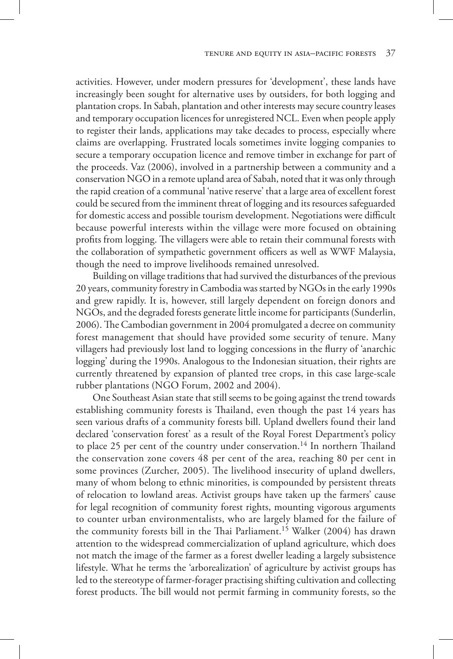activities. However, under modern pressures for 'development', these lands have increasingly been sought for alternative uses by outsiders, for both logging and plantation crops. In Sabah, plantation and other interests may secure country leases and temporary occupation licences for unregistered NCL. Even when people apply to register their lands, applications may take decades to process, especially where claims are overlapping. Frustrated locals sometimes invite logging companies to secure a temporary occupation licence and remove timber in exchange for part of the proceeds. Vaz (2006), involved in a partnership between a community and a conservation NGO in a remote upland area of Sabah, noted that it was only through the rapid creation of a communal 'native reserve' that a large area of excellent forest could be secured from the imminent threat of logging and its resources safeguarded for domestic access and possible tourism development. Negotiations were difficult because powerful interests within the village were more focused on obtaining profits from logging. The villagers were able to retain their communal forests with the collaboration of sympathetic government officers as well as WWF Malaysia, though the need to improve livelihoods remained unresolved.

Building on village traditions that had survived the disturbances of the previous 20 years, community forestry in Cambodia was started by NGOs in the early 1990s and grew rapidly. It is, however, still largely dependent on foreign donors and NGOs, and the degraded forests generate little income for participants (Sunderlin, 2006). The Cambodian government in 2004 promulgated a decree on community forest management that should have provided some security of tenure. Many villagers had previously lost land to logging concessions in the flurry of 'anarchic logging' during the 1990s. Analogous to the Indonesian situation, their rights are currently threatened by expansion of planted tree crops, in this case large-scale rubber plantations (NGO Forum, 2002 and 2004).

One Southeast Asian state that still seems to be going against the trend towards establishing community forests is Thailand, even though the past 14 years has seen various drafts of a community forests bill. Upland dwellers found their land declared 'conservation forest' as a result of the Royal Forest Department's policy to place 25 per cent of the country under conservation.<sup>14</sup> In northern Thailand the conservation zone covers 48 per cent of the area, reaching 80 per cent in some provinces (Zurcher, 2005). The livelihood insecurity of upland dwellers, many of whom belong to ethnic minorities, is compounded by persistent threats of relocation to lowland areas. Activist groups have taken up the farmers' cause for legal recognition of community forest rights, mounting vigorous arguments to counter urban environmentalists, who are largely blamed for the failure of the community forests bill in the Thai Parliament.<sup>15</sup> Walker (2004) has drawn attention to the widespread commercialization of upland agriculture, which does not match the image of the farmer as a forest dweller leading a largely subsistence lifestyle. What he terms the 'arborealization' of agriculture by activist groups has led to the stereotype of farmer-forager practising shifting cultivation and collecting forest products. The bill would not permit farming in community forests, so the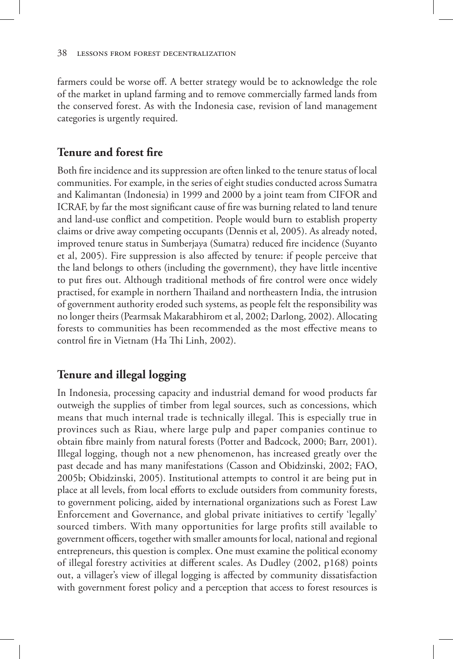farmers could be worse off. A better strategy would be to acknowledge the role of the market in upland farming and to remove commercially farmed lands from the conserved forest. As with the Indonesia case, revision of land management categories is urgently required.

# **Tenure and forest fire**

Both fire incidence and its suppression are often linked to the tenure status of local communities. For example, in the series of eight studies conducted across Sumatra and Kalimantan (Indonesia) in 1999 and 2000 by a joint team from CIFOR and ICRAF, by far the most significant cause of fire was burning related to land tenure and land-use conflict and competition. People would burn to establish property claims or drive away competing occupants (Dennis et al, 2005). As already noted, improved tenure status in Sumberjaya (Sumatra) reduced fire incidence (Suyanto et al, 2005). Fire suppression is also affected by tenure: if people perceive that the land belongs to others (including the government), they have little incentive to put fires out. Although traditional methods of fire control were once widely practised, for example in northern Thailand and northeastern India, the intrusion of government authority eroded such systems, as people felt the responsibility was no longer theirs (Pearmsak Makarabhirom et al, 2002; Darlong, 2002). Allocating forests to communities has been recommended as the most effective means to control fire in Vietnam (Ha Thi Linh, 2002).

# **Tenure and illegal logging**

In Indonesia, processing capacity and industrial demand for wood products far outweigh the supplies of timber from legal sources, such as concessions, which means that much internal trade is technically illegal. This is especially true in provinces such as Riau, where large pulp and paper companies continue to obtain fibre mainly from natural forests (Potter and Badcock, 2000; Barr, 2001). Illegal logging, though not a new phenomenon, has increased greatly over the past decade and has many manifestations (Casson and Obidzinski, 2002; FAO, 2005b; Obidzinski, 2005). Institutional attempts to control it are being put in place at all levels, from local efforts to exclude outsiders from community forests, to government policing, aided by international organizations such as Forest Law Enforcement and Governance, and global private initiatives to certify 'legally' sourced timbers. With many opportunities for large profits still available to government officers, together with smaller amounts for local, national and regional entrepreneurs, this question is complex. One must examine the political economy of illegal forestry activities at different scales. As Dudley (2002, p168) points out, a villager's view of illegal logging is affected by community dissatisfaction with government forest policy and a perception that access to forest resources is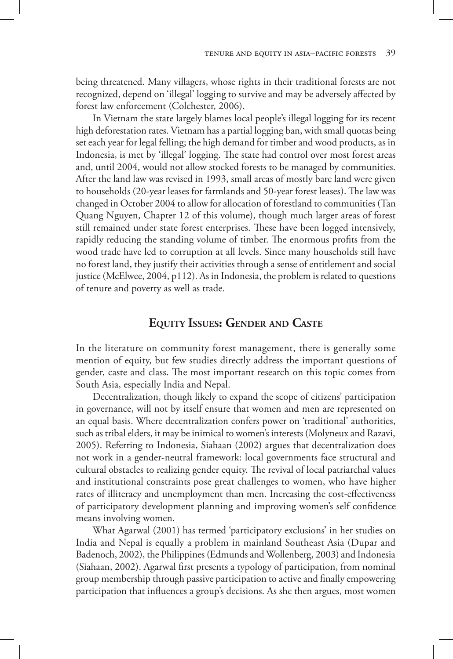being threatened. Many villagers, whose rights in their traditional forests are not recognized, depend on 'illegal' logging to survive and may be adversely affected by forest law enforcement (Colchester, 2006).

In Vietnam the state largely blames local people's illegal logging for its recent high deforestation rates. Vietnam has a partial logging ban, with small quotas being set each year for legal felling; the high demand for timber and wood products, as in Indonesia, is met by 'illegal' logging. The state had control over most forest areas and, until 2004, would not allow stocked forests to be managed by communities. After the land law was revised in 1993, small areas of mostly bare land were given to households (20-year leases for farmlands and 50-year forest leases). The law was changed in October 2004 to allow for allocation of forestland to communities (Tan Quang Nguyen, Chapter 12 of this volume), though much larger areas of forest still remained under state forest enterprises. These have been logged intensively, rapidly reducing the standing volume of timber. The enormous profits from the wood trade have led to corruption at all levels. Since many households still have no forest land, they justify their activities through a sense of entitlement and social justice (McElwee, 2004, p112). As in Indonesia, the problem is related to questions of tenure and poverty as well as trade.

### **EQUITY ISSUES: GENDER AND CASTE**

In the literature on community forest management, there is generally some mention of equity, but few studies directly address the important questions of gender, caste and class. The most important research on this topic comes from South Asia, especially India and Nepal.

Decentralization, though likely to expand the scope of citizens' participation in governance, will not by itself ensure that women and men are represented on an equal basis. Where decentralization confers power on 'traditional' authorities, such as tribal elders, it may be inimical to women's interests (Molyneux and Razavi, 2005). Referring to Indonesia, Siahaan (2002) argues that decentralization does not work in a gender-neutral framework: local governments face structural and cultural obstacles to realizing gender equity. The revival of local patriarchal values and institutional constraints pose great challenges to women, who have higher rates of illiteracy and unemployment than men. Increasing the cost-effectiveness of participatory development planning and improving women's self confidence means involving women.

What Agarwal (2001) has termed 'participatory exclusions' in her studies on India and Nepal is equally a problem in mainland Southeast Asia (Dupar and Badenoch, 2002), the Philippines (Edmunds and Wollenberg, 2003) and Indonesia (Siahaan, 2002). Agarwal first presents a typology of participation, from nominal group membership through passive participation to active and finally empowering participation that influences a group's decisions. As she then argues, most women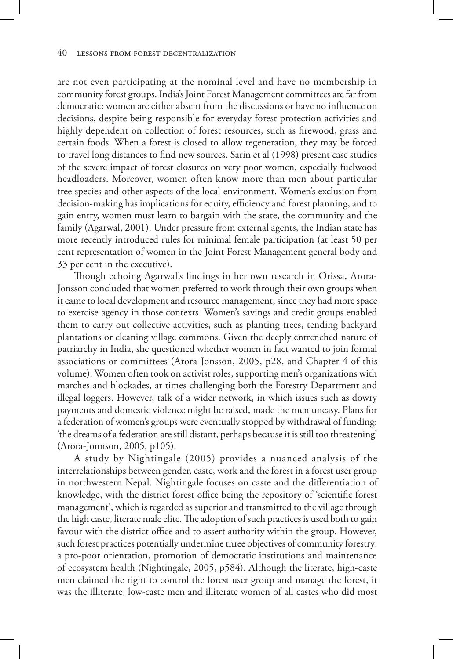are not even participating at the nominal level and have no membership in community forest groups. India's Joint Forest Management committees are far from democratic: women are either absent from the discussions or have no influence on decisions, despite being responsible for everyday forest protection activities and highly dependent on collection of forest resources, such as firewood, grass and certain foods. When a forest is closed to allow regeneration, they may be forced to travel long distances to find new sources. Sarin et al (1998) present case studies of the severe impact of forest closures on very poor women, especially fuelwood headloaders. Moreover, women often know more than men about particular tree species and other aspects of the local environment. Women's exclusion from decision-making has implications for equity, efficiency and forest planning, and to gain entry, women must learn to bargain with the state, the community and the family (Agarwal, 2001). Under pressure from external agents, the Indian state has more recently introduced rules for minimal female participation (at least 50 per cent representation of women in the Joint Forest Management general body and 33 per cent in the executive).

Though echoing Agarwal's findings in her own research in Orissa, Arora-Jonsson concluded that women preferred to work through their own groups when it came to local development and resource management, since they had more space to exercise agency in those contexts. Women's savings and credit groups enabled them to carry out collective activities, such as planting trees, tending backyard plantations or cleaning village commons. Given the deeply entrenched nature of patriarchy in India, she questioned whether women in fact wanted to join formal associations or committees (Arora-Jonsson, 2005, p28, and Chapter 4 of this volume). Women often took on activist roles, supporting men's organizations with marches and blockades, at times challenging both the Forestry Department and illegal loggers. However, talk of a wider network, in which issues such as dowry payments and domestic violence might be raised, made the men uneasy. Plans for a federation of women's groups were eventually stopped by withdrawal of funding: 'the dreams of a federation are still distant, perhaps because it is still too threatening' (Arora-Jonnson, 2005, p105).

A study by Nightingale (2005) provides a nuanced analysis of the interrelationships between gender, caste, work and the forest in a forest user group in northwestern Nepal. Nightingale focuses on caste and the differentiation of knowledge, with the district forest office being the repository of 'scientific forest management', which is regarded as superior and transmitted to the village through the high caste, literate male elite. The adoption of such practices is used both to gain favour with the district office and to assert authority within the group. However, such forest practices potentially undermine three objectives of community forestry: a pro-poor orientation, promotion of democratic institutions and maintenance of ecosystem health (Nightingale, 2005, p584). Although the literate, high-caste men claimed the right to control the forest user group and manage the forest, it was the illiterate, low-caste men and illiterate women of all castes who did most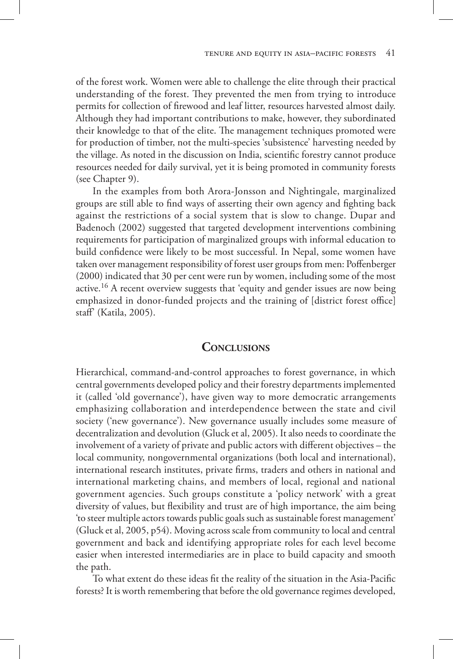of the forest work. Women were able to challenge the elite through their practical understanding of the forest. They prevented the men from trying to introduce permits for collection of firewood and leaf litter, resources harvested almost daily. Although they had important contributions to make, however, they subordinated their knowledge to that of the elite. The management techniques promoted were for production of timber, not the multi-species 'subsistence' harvesting needed by the village. As noted in the discussion on India, scientific forestry cannot produce resources needed for daily survival, yet it is being promoted in community forests (see Chapter 9).

In the examples from both Arora-Jonsson and Nightingale, marginalized groups are still able to find ways of asserting their own agency and fighting back against the restrictions of a social system that is slow to change. Dupar and Badenoch (2002) suggested that targeted development interventions combining requirements for participation of marginalized groups with informal education to build confidence were likely to be most successful. In Nepal, some women have taken over management responsibility of forest user groups from men: Poffenberger (2000) indicated that 30 per cent were run by women, including some of the most active.<sup>16</sup> A recent overview suggests that 'equity and gender issues are now being emphasized in donor-funded projects and the training of [district forest office] staff' (Katila, 2005).

### **CONCLUSIONS**

Hierarchical, command-and-control approaches to forest governance, in which central governments developed policy and their forestry departments implemented it (called 'old governance'), have given way to more democratic arrangements emphasizing collaboration and interdependence between the state and civil society ('new governance'). New governance usually includes some measure of decentralization and devolution (Gluck et al, 2005). It also needs to coordinate the involvement of a variety of private and public actors with different objectives – the local community, nongovernmental organizations (both local and international), international research institutes, private firms, traders and others in national and international marketing chains, and members of local, regional and national government agencies. Such groups constitute a 'policy network' with a great diversity of values, but flexibility and trust are of high importance, the aim being 'to steer multiple actors towards public goals such as sustainable forest management' (Gluck et al, 2005, p54). Moving across scale from community to local and central government and back and identifying appropriate roles for each level become easier when interested intermediaries are in place to build capacity and smooth the path.

To what extent do these ideas fit the reality of the situation in the Asia-Pacific forests? It is worth remembering that before the old governance regimes developed,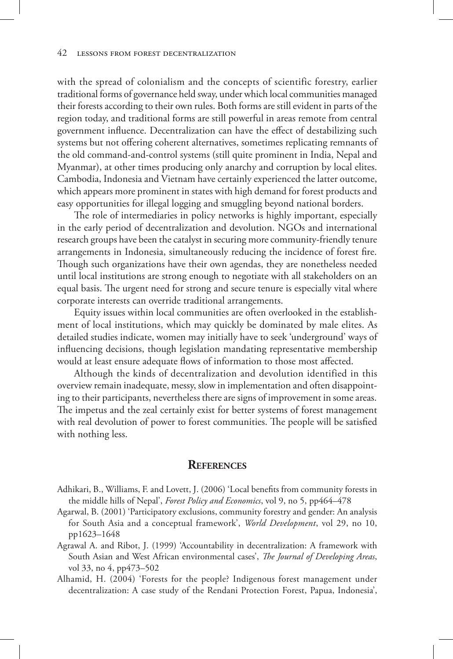with the spread of colonialism and the concepts of scientific forestry, earlier traditional forms of governance held sway, under which local communities managed their forests according to their own rules. Both forms are still evident in parts of the region today, and traditional forms are still powerful in areas remote from central government influence. Decentralization can have the effect of destabilizing such systems but not offering coherent alternatives, sometimes replicating remnants of the old command-and-control systems (still quite prominent in India, Nepal and Myanmar), at other times producing only anarchy and corruption by local elites. Cambodia, Indonesia and Vietnam have certainly experienced the latter outcome, which appears more prominent in states with high demand for forest products and easy opportunities for illegal logging and smuggling beyond national borders.

The role of intermediaries in policy networks is highly important, especially in the early period of decentralization and devolution. NGOs and international research groups have been the catalyst in securing more community-friendly tenure arrangements in Indonesia, simultaneously reducing the incidence of forest fire. Though such organizations have their own agendas, they are nonetheless needed until local institutions are strong enough to negotiate with all stakeholders on an equal basis. The urgent need for strong and secure tenure is especially vital where corporate interests can override traditional arrangements.

Equity issues within local communities are often overlooked in the establishment of local institutions, which may quickly be dominated by male elites. As detailed studies indicate, women may initially have to seek 'underground' ways of influencing decisions, though legislation mandating representative membership would at least ensure adequate flows of information to those most affected.

Although the kinds of decentralization and devolution identified in this overview remain inadequate, messy, slow in implementation and often disappointing to their participants, nevertheless there are signs of improvement in some areas. The impetus and the zeal certainly exist for better systems of forest management with real devolution of power to forest communities. The people will be satisfied with nothing less.

#### **REFERENCES**

- Adhikari, B., Williams, F. and Lovett, J. (2006) 'Local benefits from community forests in the middle hills of Nepal', *Forest Policy and Economics*, vol 9, no 5, pp464–478
- Agarwal, B. (2001) 'Participatory exclusions, community forestry and gender: An analysis for South Asia and a conceptual framework', *World Development*, vol 29, no 10, pp1623–1648
- Agrawal A. and Ribot, J. (1999) 'Accountability in decentralization: A framework with South Asian and West African environmental cases', *The Journal of Developing Areas*, vol 33, no 4, pp473–502
- Alhamid, H. (2004) 'Forests for the people? Indigenous forest management under decentralization: A case study of the Rendani Protection Forest, Papua, Indonesia',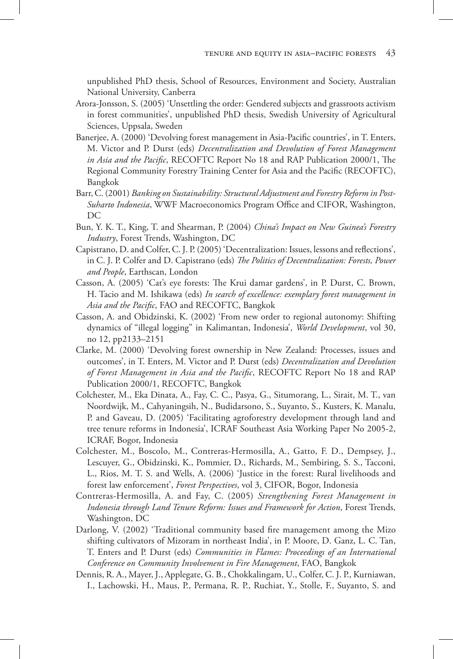unpublished PhD thesis, School of Resources, Environment and Society, Australian National University, Canberra

- Arora-Jonsson, S. (2005) 'Unsettling the order: Gendered subjects and grassroots activism in forest communities', unpublished PhD thesis, Swedish University of Agricultural Sciences, Uppsala, Sweden
- Banerjee, A. (2000) 'Devolving forest management in Asia-Pacific countries', in T. Enters, M. Victor and P. Durst (eds) *Decentralization and Devolution of Forest Management in Asia and the Pacific*, RECOFTC Report No 18 and RAP Publication 2000/1, The Regional Community Forestry Training Center for Asia and the Pacific (RECOFTC), Bangkok
- Barr, C. (2001) *Banking on Sustainability: Structural Adjustment and Forestry Reform in Post-Suharto Indonesia*, WWF Macroeconomics Program Office and CIFOR, Washington, DC
- Bun, Y. K. T., King, T. and Shearman, P. (2004) *China's Impact on New Guinea's Forestry Industry*, Forest Trends, Washington, DC
- Capistrano, D. and Colfer, C. J. P. (2005) 'Decentralization: Issues, lessons and reflections', in C. J. P. Colfer and D. Capistrano (eds) *The Politics of Decentralization: Forests, Power and People*, Earthscan, London
- Casson, A. (2005) 'Cat's eye forests: The Krui damar gardens', in P. Durst, C. Brown, H. Tacio and M. Ishikawa (eds) *In search of excellence: exemplary forest management in Asia and the Pacific*, FAO and RECOFTC, Bangkok
- Casson, A. and Obidzinski, K. (2002) 'From new order to regional autonomy: Shifting dynamics of "illegal logging" in Kalimantan, Indonesia', *World Development*, vol 30, no 12, pp2133–2151
- Clarke, M. (2000) 'Devolving forest ownership in New Zealand: Processes, issues and outcomes', in T. Enters, M. Victor and P. Durst (eds) *Decentralization and Devolution of Forest Management in Asia and the Pacific*, RECOFTC Report No 18 and RAP Publication 2000/1, RECOFTC, Bangkok
- Colchester, M., Eka Dinata, A., Fay, C. C., Pasya, G., Situmorang, L., Sirait, M. T., van Noordwijk, M., Cahyaningsih, N., Budidarsono, S., Suyanto, S., Kusters, K. Manalu, P. and Gaveau, D. (2005) 'Facilitating agroforestry development through land and tree tenure reforms in Indonesia', ICRAF Southeast Asia Working Paper No 2005-2, ICRAF, Bogor, Indonesia
- Colchester, M., Boscolo, M., Contreras-Hermosilla, A., Gatto, F. D., Dempsey, J., Lescuyer, G., Obidzinski, K., Pommier, D., Richards, M., Sembiring, S. S., Tacconi, L., Rios, M. T. S. and Wells, A. (2006) 'Justice in the forest: Rural livelihoods and forest law enforcement', *Forest Perspectives*, vol 3, CIFOR, Bogor, Indonesia
- Contreras-Hermosilla, A. and Fay, C. (2005) *Strengthening Forest Management in Indonesia through Land Tenure Reform: Issues and Framework for Action*, Forest Trends, Washington, DC
- Darlong, V. (2002) 'Traditional community based fire management among the Mizo shifting cultivators of Mizoram in northeast India', in P. Moore, D. Ganz, L. C. Tan, T. Enters and P. Durst (eds) *Communities in Flames: Proceedings of an International Conference on Community Involvement in Fire Management*, FAO, Bangkok
- Dennis, R. A., Mayer, J., Applegate, G. B., Chokkalingam, U., Colfer, C. J. P., Kurniawan, I., Lachowski, H., Maus, P., Permana, R. P., Ruchiat, Y., Stolle, F., Suyanto, S. and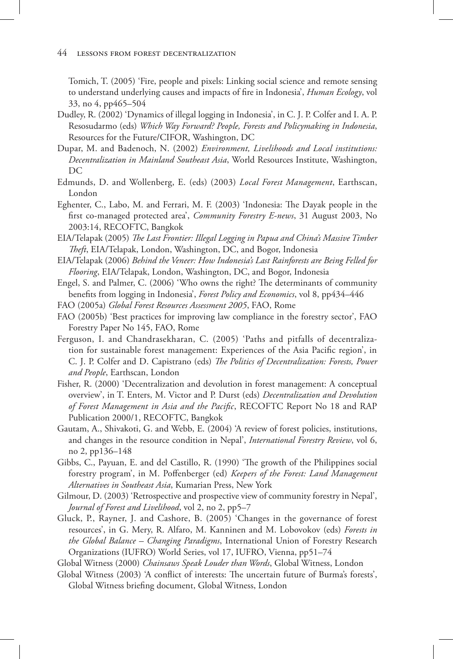Tomich, T. (2005) 'Fire, people and pixels: Linking social science and remote sensing to understand underlying causes and impacts of fire in Indonesia', *Human Ecology*, vol 33, no 4, pp465–504

- Dudley, R. (2002) 'Dynamics of illegal logging in Indonesia', in C. J. P. Colfer and I. A. P. Resosudarmo (eds) *Which Way Forward? People, Forests and Policymaking in Indonesia*, Resources for the Future/CIFOR, Washington, DC
- Dupar, M. and Badenoch, N. (2002) *Environment, Livelihoods and Local institutions: Decentralization in Mainland Southeast Asia*, World Resources Institute, Washington, DC
- Edmunds, D. and Wollenberg, E. (eds) (2003) *Local Forest Management*, Earthscan, London
- Eghenter, C., Labo, M. and Ferrari, M. F. (2003) 'Indonesia: The Dayak people in the first co-managed protected area', *Community Forestry E-news*, 31 August 2003, No 2003:14, RECOFTC, Bangkok
- EIA/Telapak (2005) *The Last Frontier: Illegal Logging in Papua and China's Massive Timber Theft*, EIA/Telapak, London, Washington, DC, and Bogor, Indonesia
- EIA/Telapak (2006) *Behind the Veneer: How Indonesia's Last Rainforests are Being Felled for Flooring*, EIA/Telapak, London, Washington, DC, and Bogor, Indonesia
- Engel, S. and Palmer, C. (2006) 'Who owns the right? The determinants of community benefits from logging in Indonesia', *Forest Policy and Economics*, vol 8, pp434–446
- FAO (2005a) *Global Forest Resources Assessment 2005*, FAO, Rome
- FAO (2005b) 'Best practices for improving law compliance in the forestry sector', FAO Forestry Paper No 145, FAO, Rome
- Ferguson, I. and Chandrasekharan, C. (2005) 'Paths and pitfalls of decentralization for sustainable forest management: Experiences of the Asia Pacific region', in C. J. P. Colfer and D. Capistrano (eds) *The Politics of Decentralization: Forests, Power and People*, Earthscan, London
- Fisher, R. (2000) 'Decentralization and devolution in forest management: A conceptual overview', in T. Enters, M. Victor and P. Durst (eds) *Decentralization and Devolution of Forest Management in Asia and the Pacific*, RECOFTC Report No 18 and RAP Publication 2000/1, RECOFTC, Bangkok
- Gautam, A., Shivakoti, G. and Webb, E. (2004) 'A review of forest policies, institutions, and changes in the resource condition in Nepal', *International Forestry Review*, vol 6, no 2, pp136–148
- Gibbs, C., Payuan, E. and del Castillo, R. (1990) 'The growth of the Philippines social forestry program', in M. Poffenberger (ed) *Keepers of the Forest: Land Management Alternatives in Southeast Asia*, Kumarian Press, New York
- Gilmour, D. (2003) 'Retrospective and prospective view of community forestry in Nepal', *Journal of Forest and Livelihood*, vol 2, no 2, pp5–7
- Gluck, P., Rayner, J. and Cashore, B. (2005) 'Changes in the governance of forest resources', in G. Mery, R. Alfaro, M. Kanninen and M. Lobovokov (eds) *Forests in the Global Balance – Changing Paradigms*, International Union of Forestry Research Organizations (IUFRO) World Series, vol 17, IUFRO, Vienna, pp51–74

Global Witness (2000) *Chainsaws Speak Louder than Words*, Global Witness, London

Global Witness (2003) 'A conflict of interests: The uncertain future of Burma's forests', Global Witness briefing document, Global Witness, London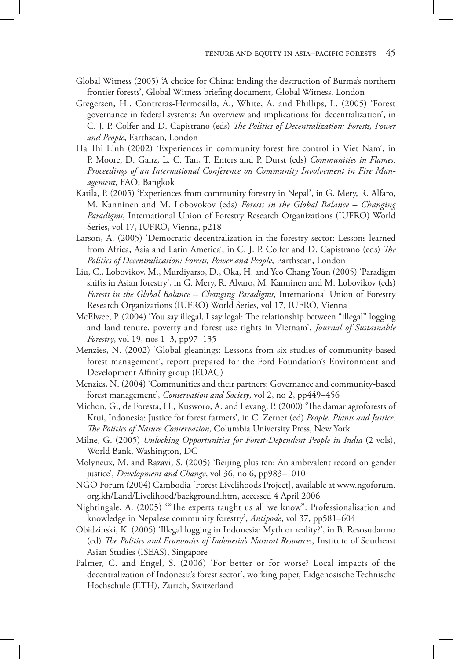- Global Witness (2005) 'A choice for China: Ending the destruction of Burma's northern frontier forests', Global Witness briefing document, Global Witness, London
- Gregersen, H., Contreras-Hermosilla, A., White, A. and Phillips, L. (2005) 'Forest governance in federal systems: An overview and implications for decentralization', in C. J. P. Colfer and D. Capistrano (eds) *The Politics of Decentralization: Forests, Power and People*, Earthscan, London
- Ha Thi Linh (2002) 'Experiences in community forest fire control in Viet Nam', in P. Moore, D. Ganz, L. C. Tan, T. Enters and P. Durst (eds) *Communities in Flames: Proceedings of an International Conference on Community Involvement in Fire Management*, FAO, Bangkok
- Katila, P. (2005) 'Experiences from community forestry in Nepal', in G. Mery, R. Alfaro, M. Kanninen and M. Lobovokov (eds) *Forests in the Global Balance – Changing Paradigms*, International Union of Forestry Research Organizations (IUFRO) World Series, vol 17, IUFRO, Vienna, p218
- Larson, A. (2005) 'Democratic decentralization in the forestry sector: Lessons learned from Africa, Asia and Latin America', in C. J. P. Colfer and D. Capistrano (eds) *The Politics of Decentralization: Forests, Power and People*, Earthscan, London
- Liu, C., Lobovikov, M., Murdiyarso, D., Oka, H. and Yeo Chang Youn (2005) 'Paradigm shifts in Asian forestry', in G. Mery, R. Alvaro, M. Kanninen and M. Lobovikov (eds) *Forests in the Global Balance – Changing Paradigms*, International Union of Forestry Research Organizations (IUFRO) World Series, vol 17, IUFRO, Vienna
- McElwee, P. (2004) 'You say illegal, I say legal: The relationship between "illegal" logging and land tenure, poverty and forest use rights in Vietnam', *Journal of Sustainable Forestry*, vol 19, nos 1–3, pp97–135
- Menzies, N. (2002) 'Global gleanings: Lessons from six studies of community-based forest management', report prepared for the Ford Foundation's Environment and Development Affinity group (EDAG)
- Menzies, N. (2004) 'Communities and their partners: Governance and community-based forest management', *Conservation and Society*, vol 2, no 2, pp449–456
- Michon, G., de Foresta, H., Kusworo, A. and Levang, P. (2000) 'The damar agroforests of Krui, Indonesia: Justice for forest farmers', in C. Zerner (ed) *People, Plants and Justice: The Politics of Nature Conservation*, Columbia University Press, New York
- Milne, G. (2005) *Unlocking Opportunities for Forest-Dependent People in India* (2 vols), World Bank, Washington, DC
- Molyneux, M. and Razavi, S. (2005) 'Beijing plus ten: An ambivalent record on gender justice', *Development and Change*, vol 36, no 6, pp983–1010
- NGO Forum (2004) Cambodia [Forest Livelihoods Project], available at www.ngoforum. org.kh/Land/Livelihood/background.htm, accessed 4 April 2006
- Nightingale, A. (2005) '"The experts taught us all we know": Professionalisation and knowledge in Nepalese community forestry', *Antipode*, vol 37, pp581–604
- Obidzinski, K. (2005) 'Illegal logging in Indonesia: Myth or reality?', in B. Resosudarmo (ed) *The Politics and Economics of Indonesia's Natural Resources*, Institute of Southeast Asian Studies (ISEAS), Singapore
- Palmer, C. and Engel, S. (2006) 'For better or for worse? Local impacts of the decentralization of Indonesia's forest sector', working paper, Eidgenosische Technische Hochschule (ETH), Zurich, Switzerland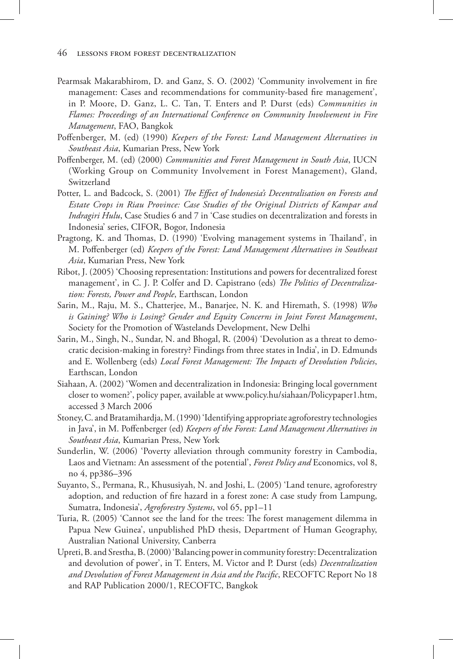- Pearmsak Makarabhirom, D. and Ganz, S. O. (2002) 'Community involvement in fire management: Cases and recommendations for community-based fire management', in P. Moore, D. Ganz, L. C. Tan, T. Enters and P. Durst (eds) *Communities in Flames: Proceedings of an International Conference on Community Involvement in Fire Management*, FAO, Bangkok
- Poffenberger, M. (ed) (1990) *Keepers of the Forest: Land Management Alternatives in Southeast Asia*, Kumarian Press, New York
- Poffenberger, M. (ed) (2000) *Communities and Forest Management in South Asia*, IUCN (Working Group on Community Involvement in Forest Management), Gland, Switzerland
- Potter, L. and Badcock, S. (2001) *The Effect of Indonesia's Decentralisation on Forests and Estate Crops in Riau Province: Case Studies of the Original Districts of Kampar and Indragiri Hulu*, Case Studies 6 and 7 in 'Case studies on decentralization and forests in Indonesia' series, CIFOR, Bogor, Indonesia
- Pragtong, K. and Thomas, D. (1990) 'Evolving management systems in Thailand', in M. Poffenberger (ed) *Keepers of the Forest: Land Management Alternatives in Southeast Asia*, Kumarian Press, New York
- Ribot, J. (2005) 'Choosing representation: Institutions and powers for decentralized forest management', in C. J. P. Colfer and D. Capistrano (eds) *The Politics of Decentralization: Forests, Power and People*, Earthscan, London
- Sarin, M., Raju, M. S., Chatterjee, M., Banarjee, N. K. and Hiremath, S. (1998) *Who is Gaining? Who is Losing? Gender and Equity Concerns in Joint Forest Management*, Society for the Promotion of Wastelands Development, New Delhi
- Sarin, M., Singh, N., Sundar, N. and Bhogal, R. (2004) 'Devolution as a threat to democratic decision-making in forestry? Findings from three states in India', in D. Edmunds and E. Wollenberg (eds) *Local Forest Management: The Impacts of Devolution Policies*, Earthscan, London
- Siahaan, A. (2002) 'Women and decentralization in Indonesia: Bringing local government closer to women?', policy paper, available at www.policy.hu/siahaan/Policypaper1.htm, accessed 3 March 2006
- Stoney, C. and Bratamihardja, M. (1990) 'Identifying appropriate agroforestry technologies in Java', in M. Poffenberger (ed) *Keepers of the Forest: Land Management Alternatives in Southeast Asia*, Kumarian Press, New York
- Sunderlin, W. (2006) 'Poverty alleviation through community forestry in Cambodia, Laos and Vietnam: An assessment of the potential', *Forest Policy and* Economics, vol 8, no 4, pp386–396
- Suyanto, S., Permana, R., Khususiyah, N. and Joshi, L. (2005) 'Land tenure, agroforestry adoption, and reduction of fire hazard in a forest zone: A case study from Lampung, Sumatra, Indonesia', *Agroforestry Systems*, vol 65, pp1–11
- Turia, R. (2005) 'Cannot see the land for the trees: The forest management dilemma in Papua New Guinea', unpublished PhD thesis, Department of Human Geography, Australian National University, Canberra
- Upreti, B. and Srestha, B. (2000) 'Balancing power in community forestry: Decentralization and devolution of power', in T. Enters, M. Victor and P. Durst (eds) *Decentralization and Devolution of Forest Management in Asia and the Pacific*, RECOFTC Report No 18 and RAP Publication 2000/1, RECOFTC, Bangkok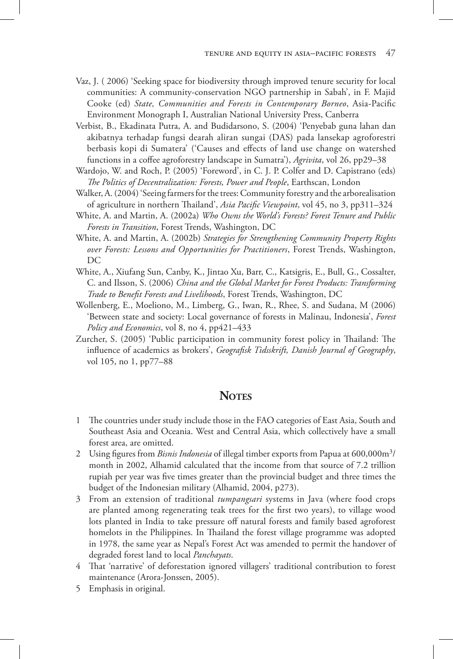- Vaz, J. ( 2006) 'Seeking space for biodiversity through improved tenure security for local communities: A community-conservation NGO partnership in Sabah', in F. Majid Cooke (ed) *State, Communities and Forests in Contemporary Borneo*, Asia-Pacific Environment Monograph I, Australian National University Press, Canberra
- Verbist, B., Ekadinata Putra, A. and Budidarsono, S. (2004) 'Penyebab guna lahan dan akibatnya terhadap fungsi dearah aliran sungai (DAS) pada lansekap agroforestri berbasis kopi di Sumatera' ('Causes and effects of land use change on watershed functions in a coffee agroforestry landscape in Sumatra'), *Agrivita*, vol 26, pp29–38
- Wardojo, W. and Roch, P. (2005) 'Foreword', in C. J. P. Colfer and D. Capistrano (eds) *The Politics of Decentralization: Forests, Power and People*, Earthscan, London
- Walker, A. (2004) 'Seeing farmers for the trees: Community forestry and the arborealisation of agriculture in northern Thailand', *Asia Pacific Viewpoint*, vol 45, no 3, pp311–324
- White, A. and Martin, A. (2002a) *Who Owns the World's Forests? Forest Tenure and Public Forests in Transition*, Forest Trends, Washington, DC
- White, A. and Martin, A. (2002b) *Strategies for Strengthening Community Property Rights over Forests: Lessons and Opportunities for Practitioners*, Forest Trends, Washington, DC
- White, A., Xiufang Sun, Canby, K., Jintao Xu, Barr, C., Katsigris, E., Bull, G., Cossalter, C. and Ilsson, S. (2006) *China and the Global Market for Forest Products: Transforming Trade to Benefit Forests and Livelihoods*, Forest Trends, Washington, DC
- Wollenberg, E., Moeliono, M., Limberg, G., Iwan, R., Rhee, S. and Sudana, M (2006) 'Between state and society: Local governance of forests in Malinau, Indonesia', *Forest Policy and Economics*, vol 8, no 4, pp421–433
- Zurcher, S. (2005) 'Public participation in community forest policy in Thailand: The influence of academics as brokers', *Geografisk Tidsskrift, Danish Journal of Geography*, vol 105, no 1, pp77–88

### **NOTES**

- 1 The countries under study include those in the FAO categories of East Asia, South and Southeast Asia and Oceania. West and Central Asia, which collectively have a small forest area, are omitted.
- 2 Using figures from *Bisnis Indonesia* of illegal timber exports from Papua at 600,000m3/ month in 2002, Alhamid calculated that the income from that source of 7.2 trillion rupiah per year was five times greater than the provincial budget and three times the budget of the Indonesian military (Alhamid, 2004, p273).
- 3 From an extension of traditional *tumpangsari* systems in Java (where food crops are planted among regenerating teak trees for the first two years), to village wood lots planted in India to take pressure off natural forests and family based agroforest homelots in the Philippines. In Thailand the forest village programme was adopted in 1978, the same year as Nepal's Forest Act was amended to permit the handover of degraded forest land to local *Panchayats*.
- 4 That 'narrative' of deforestation ignored villagers' traditional contribution to forest maintenance (Arora-Jonssen, 2005).
- 5 Emphasis in original.